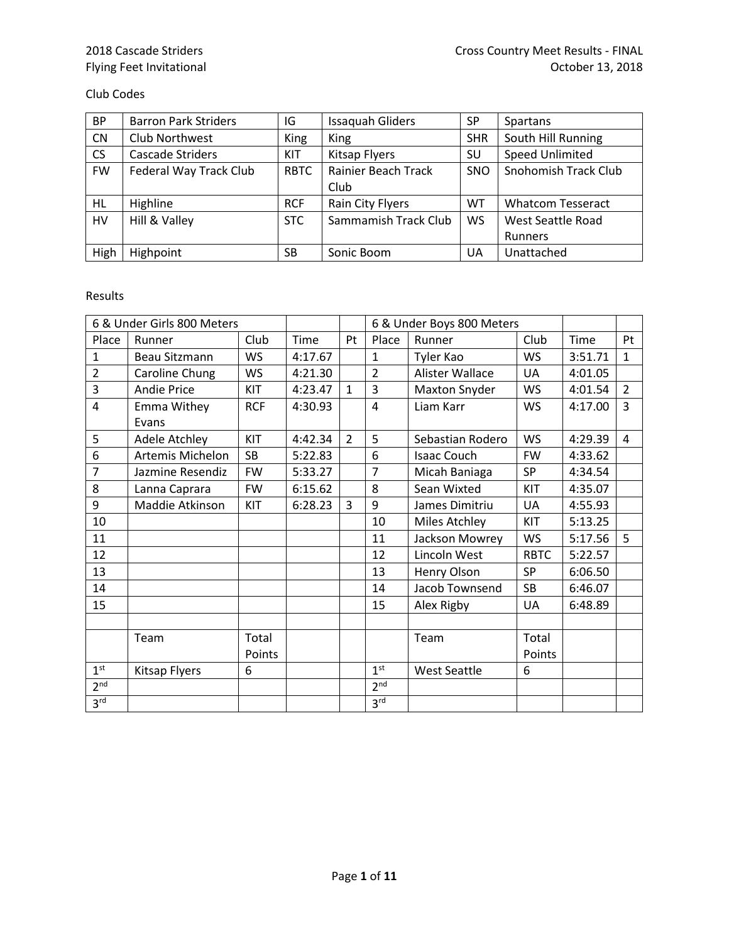## Flying Feet Invitational

## Club Codes

| <b>BP</b> | <b>Barron Park Striders</b> | IG          | <b>Issaquah Gliders</b>    | SP         | Spartans                 |
|-----------|-----------------------------|-------------|----------------------------|------------|--------------------------|
| <b>CN</b> | Club Northwest              | King        | King                       | <b>SHR</b> | South Hill Running       |
| CS        | Cascade Striders            | <b>KIT</b>  | <b>Kitsap Flyers</b>       | SU         | <b>Speed Unlimited</b>   |
| <b>FW</b> | Federal Way Track Club      | <b>RBTC</b> | <b>Rainier Beach Track</b> | <b>SNO</b> | Snohomish Track Club     |
|           |                             |             | Club                       |            |                          |
| HL        | Highline                    | <b>RCF</b>  | Rain City Flyers           | <b>WT</b>  | <b>Whatcom Tesseract</b> |
| HV        | Hill & Valley               | <b>STC</b>  | Sammamish Track Club       | <b>WS</b>  | West Seattle Road        |
|           |                             |             |                            |            | <b>Runners</b>           |
| High      | Highpoint                   | <b>SB</b>   | Sonic Boom                 | UA         | Unattached               |

## Results

|                 | 6 & Under Girls 800 Meters |            |         |                |                 | 6 & Under Boys 800 Meters |             |         |                |
|-----------------|----------------------------|------------|---------|----------------|-----------------|---------------------------|-------------|---------|----------------|
| Place           | Runner                     | Club       | Time    | <b>Pt</b>      | Place           | Runner                    | Club        | Time    | Pt             |
| 1               | Beau Sitzmann              | <b>WS</b>  | 4:17.67 |                | $\mathbf{1}$    | Tyler Kao                 | <b>WS</b>   | 3:51.71 | $\mathbf{1}$   |
| $\overline{2}$  | Caroline Chung             | <b>WS</b>  | 4:21.30 |                | $\overline{2}$  | Alister Wallace           | <b>UA</b>   | 4:01.05 |                |
| 3               | <b>Andie Price</b>         | KIT        | 4:23.47 | $\mathbf{1}$   | 3               | <b>Maxton Snyder</b>      | WS          | 4:01.54 | $\overline{2}$ |
| 4               | Emma Withey                | <b>RCF</b> | 4:30.93 |                | 4               | Liam Karr                 | <b>WS</b>   | 4:17.00 | 3              |
|                 | Evans                      |            |         |                |                 |                           |             |         |                |
| 5               | Adele Atchley              | KIT        | 4:42.34 | $\overline{2}$ | 5               | Sebastian Rodero          | <b>WS</b>   | 4:29.39 | $\overline{4}$ |
| 6               | Artemis Michelon           | SB         | 5:22.83 |                | 6               | <b>Isaac Couch</b>        | <b>FW</b>   | 4:33.62 |                |
| $\overline{7}$  | Jazmine Resendiz           | <b>FW</b>  | 5:33.27 |                | $\overline{7}$  | Micah Baniaga             | <b>SP</b>   | 4:34.54 |                |
| 8               | Lanna Caprara              | <b>FW</b>  | 6:15.62 |                | 8               | Sean Wixted               | KIT         | 4:35.07 |                |
| 9               | Maddie Atkinson            | KIT        | 6:28.23 | 3              | 9               | James Dimitriu            | <b>UA</b>   | 4:55.93 |                |
| 10              |                            |            |         |                | 10              | <b>Miles Atchley</b>      | KIT         | 5:13.25 |                |
| 11              |                            |            |         |                | 11              | Jackson Mowrey            | <b>WS</b>   | 5:17.56 | 5              |
| 12              |                            |            |         |                | 12              | Lincoln West              | <b>RBTC</b> | 5:22.57 |                |
| 13              |                            |            |         |                | 13              | Henry Olson               | <b>SP</b>   | 6:06.50 |                |
| 14              |                            |            |         |                | 14              | Jacob Townsend            | <b>SB</b>   | 6:46.07 |                |
| 15              |                            |            |         |                | 15              | Alex Rigby                | UA          | 6:48.89 |                |
|                 |                            |            |         |                |                 |                           |             |         |                |
|                 | Team                       | Total      |         |                |                 | Team                      | Total       |         |                |
|                 |                            | Points     |         |                |                 |                           | Points      |         |                |
| 1 <sup>st</sup> | Kitsap Flyers              | 6          |         |                | 1 <sup>st</sup> | <b>West Seattle</b>       | 6           |         |                |
| 2 <sup>nd</sup> |                            |            |         |                | 2 <sup>nd</sup> |                           |             |         |                |
| 3 <sup>rd</sup> |                            |            |         |                | 3 <sup>rd</sup> |                           |             |         |                |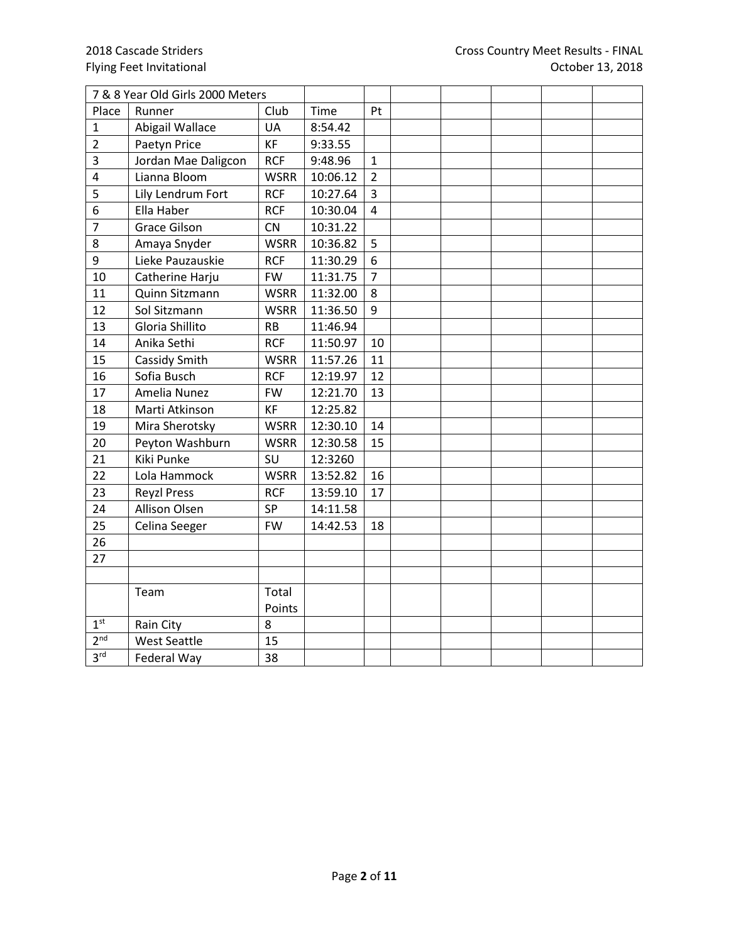|                 | 7 & 8 Year Old Girls 2000 Meters |             |          |                |  |  |  |
|-----------------|----------------------------------|-------------|----------|----------------|--|--|--|
| Place           | Runner                           | Club        | Time     | Pt             |  |  |  |
| 1               | Abigail Wallace                  | <b>UA</b>   | 8:54.42  |                |  |  |  |
| $\overline{2}$  | Paetyn Price                     | <b>KF</b>   | 9:33.55  |                |  |  |  |
| 3               | Jordan Mae Daligcon              | <b>RCF</b>  | 9:48.96  | $\mathbf{1}$   |  |  |  |
| $\overline{4}$  | Lianna Bloom                     | <b>WSRR</b> | 10:06.12 | $\overline{2}$ |  |  |  |
| 5               | Lily Lendrum Fort                | <b>RCF</b>  | 10:27.64 | 3              |  |  |  |
| 6               | Ella Haber                       | <b>RCF</b>  | 10:30.04 | 4              |  |  |  |
| $\overline{7}$  | <b>Grace Gilson</b>              | CN          | 10:31.22 |                |  |  |  |
| 8               | Amaya Snyder                     | <b>WSRR</b> | 10:36.82 | 5              |  |  |  |
| 9               | Lieke Pauzauskie                 | <b>RCF</b>  | 11:30.29 | 6              |  |  |  |
| 10              | Catherine Harju                  | <b>FW</b>   | 11:31.75 | $\overline{7}$ |  |  |  |
| 11              | Quinn Sitzmann                   | <b>WSRR</b> | 11:32.00 | 8              |  |  |  |
| 12              | Sol Sitzmann                     | <b>WSRR</b> | 11:36.50 | 9              |  |  |  |
| 13              | Gloria Shillito                  | <b>RB</b>   | 11:46.94 |                |  |  |  |
| 14              | Anika Sethi                      | <b>RCF</b>  | 11:50.97 | 10             |  |  |  |
| 15              | Cassidy Smith                    | <b>WSRR</b> | 11:57.26 | 11             |  |  |  |
| 16              | Sofia Busch                      | <b>RCF</b>  | 12:19.97 | 12             |  |  |  |
| 17              | Amelia Nunez                     | <b>FW</b>   | 12:21.70 | 13             |  |  |  |
| 18              | Marti Atkinson                   | KF          | 12:25.82 |                |  |  |  |
| 19              | Mira Sherotsky                   | <b>WSRR</b> | 12:30.10 | 14             |  |  |  |
| 20              | Peyton Washburn                  | <b>WSRR</b> | 12:30.58 | 15             |  |  |  |
| 21              | Kiki Punke                       | SU          | 12:3260  |                |  |  |  |
| 22              | Lola Hammock                     | <b>WSRR</b> | 13:52.82 | 16             |  |  |  |
| 23              | <b>Reyzl Press</b>               | <b>RCF</b>  | 13:59.10 | 17             |  |  |  |
| 24              | Allison Olsen                    | <b>SP</b>   | 14:11.58 |                |  |  |  |
| 25              | Celina Seeger                    | <b>FW</b>   | 14:42.53 | 18             |  |  |  |
| 26              |                                  |             |          |                |  |  |  |
| 27              |                                  |             |          |                |  |  |  |
|                 |                                  |             |          |                |  |  |  |
|                 | Team                             | Total       |          |                |  |  |  |
|                 |                                  | Points      |          |                |  |  |  |
| 1 <sup>st</sup> | Rain City                        | 8           |          |                |  |  |  |
| 2 <sup>nd</sup> | <b>West Seattle</b>              | 15          |          |                |  |  |  |
| 3 <sup>rd</sup> | Federal Way                      | 38          |          |                |  |  |  |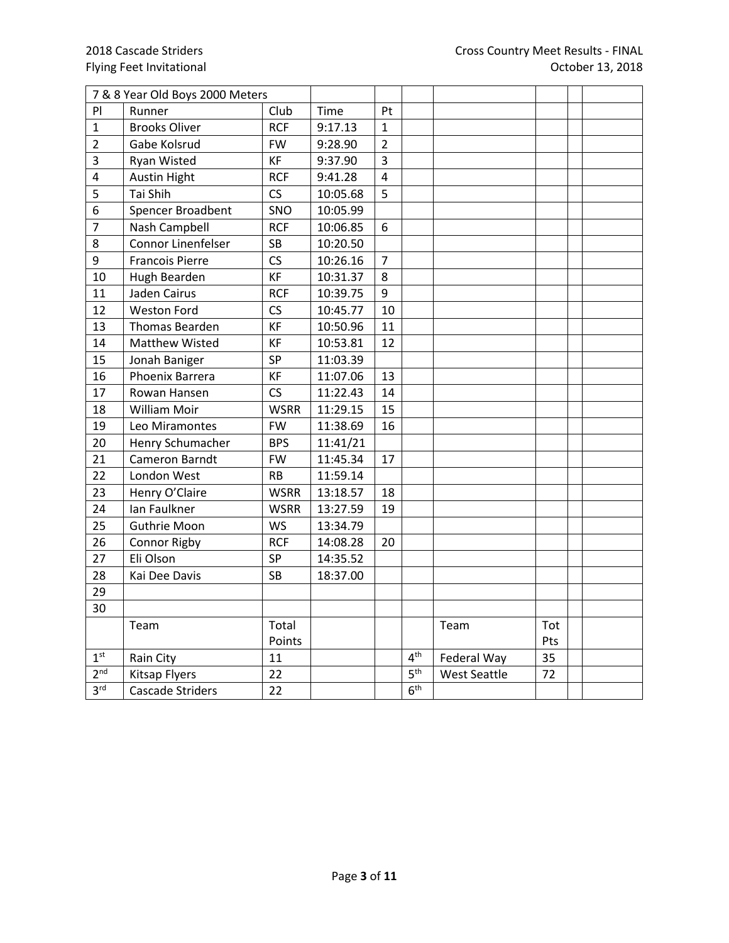|                         | 7 & 8 Year Old Boys 2000 Meters |             |          |                |                 |                     |     |  |
|-------------------------|---------------------------------|-------------|----------|----------------|-----------------|---------------------|-----|--|
| PI                      | Runner                          | Club        | Time     | Pt             |                 |                     |     |  |
| 1                       | <b>Brooks Oliver</b>            | <b>RCF</b>  | 9:17.13  | $\mathbf{1}$   |                 |                     |     |  |
| $\overline{2}$          | Gabe Kolsrud                    | <b>FW</b>   | 9:28.90  | $\overline{2}$ |                 |                     |     |  |
| 3                       | <b>Ryan Wisted</b>              | KF          | 9:37.90  | 3              |                 |                     |     |  |
| $\overline{\mathbf{4}}$ | <b>Austin Hight</b>             | <b>RCF</b>  | 9:41.28  | $\overline{4}$ |                 |                     |     |  |
| 5                       | Tai Shih                        | CS          | 10:05.68 | 5              |                 |                     |     |  |
| 6                       | Spencer Broadbent               | SNO         | 10:05.99 |                |                 |                     |     |  |
| $\overline{7}$          | Nash Campbell                   | <b>RCF</b>  | 10:06.85 | 6              |                 |                     |     |  |
| 8                       | Connor Linenfelser              | SB          | 10:20.50 |                |                 |                     |     |  |
| 9                       | <b>Francois Pierre</b>          | CS          | 10:26.16 | $\overline{7}$ |                 |                     |     |  |
| 10                      | Hugh Bearden                    | <b>KF</b>   | 10:31.37 | 8              |                 |                     |     |  |
| 11                      | Jaden Cairus                    | <b>RCF</b>  | 10:39.75 | 9              |                 |                     |     |  |
| 12                      | <b>Weston Ford</b>              | CS          | 10:45.77 | 10             |                 |                     |     |  |
| 13                      | Thomas Bearden                  | <b>KF</b>   | 10:50.96 | 11             |                 |                     |     |  |
| 14                      | <b>Matthew Wisted</b>           | KF          | 10:53.81 | 12             |                 |                     |     |  |
| 15                      | Jonah Baniger                   | SP          | 11:03.39 |                |                 |                     |     |  |
| 16                      | Phoenix Barrera                 | KF          | 11:07.06 | 13             |                 |                     |     |  |
| 17                      | Rowan Hansen                    | CS          | 11:22.43 | 14             |                 |                     |     |  |
| 18                      | William Moir                    | <b>WSRR</b> | 11:29.15 | 15             |                 |                     |     |  |
| 19                      | Leo Miramontes                  | <b>FW</b>   | 11:38.69 | 16             |                 |                     |     |  |
| 20                      | Henry Schumacher                | <b>BPS</b>  | 11:41/21 |                |                 |                     |     |  |
| 21                      | Cameron Barndt                  | <b>FW</b>   | 11:45.34 | 17             |                 |                     |     |  |
| 22                      | London West                     | <b>RB</b>   | 11:59.14 |                |                 |                     |     |  |
| 23                      | Henry O'Claire                  | <b>WSRR</b> | 13:18.57 | 18             |                 |                     |     |  |
| 24                      | Ian Faulkner                    | <b>WSRR</b> | 13:27.59 | 19             |                 |                     |     |  |
| 25                      | Guthrie Moon                    | <b>WS</b>   | 13:34.79 |                |                 |                     |     |  |
| 26                      | <b>Connor Rigby</b>             | <b>RCF</b>  | 14:08.28 | 20             |                 |                     |     |  |
| 27                      | Eli Olson                       | <b>SP</b>   | 14:35.52 |                |                 |                     |     |  |
| 28                      | Kai Dee Davis                   | <b>SB</b>   | 18:37.00 |                |                 |                     |     |  |
| 29                      |                                 |             |          |                |                 |                     |     |  |
| 30                      |                                 |             |          |                |                 |                     |     |  |
|                         | Team                            | Total       |          |                |                 | Team                | Tot |  |
|                         |                                 | Points      |          |                |                 |                     | Pts |  |
| 1 <sup>st</sup>         | Rain City                       | 11          |          |                | 4 <sup>th</sup> | Federal Way         | 35  |  |
| 2 <sup>nd</sup>         | <b>Kitsap Flyers</b>            | 22          |          |                | 5 <sup>th</sup> | <b>West Seattle</b> | 72  |  |
| 3 <sup>rd</sup>         | <b>Cascade Striders</b>         | 22          |          |                | 6 <sup>th</sup> |                     |     |  |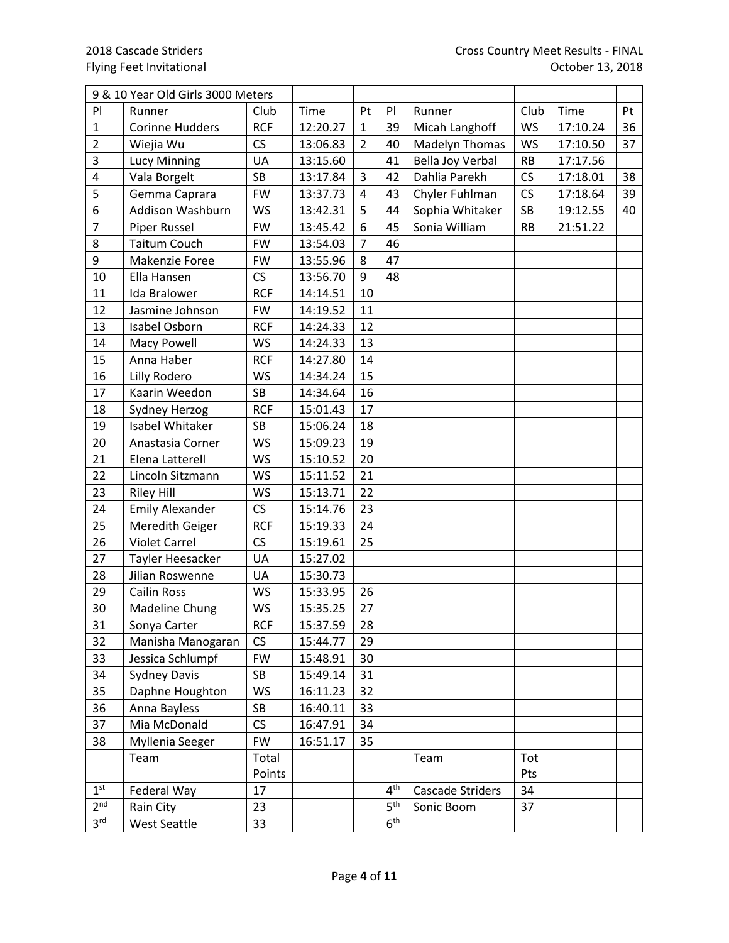|                 | 9 & 10 Year Old Girls 3000 Meters |            |          |                |                 |                  |           |          |    |
|-----------------|-----------------------------------|------------|----------|----------------|-----------------|------------------|-----------|----------|----|
| P               | Runner                            | Club       | Time     | Pt             | P               | Runner           | Club      | Time     | Pt |
| $\mathbf{1}$    | <b>Corinne Hudders</b>            | <b>RCF</b> | 12:20.27 | $\mathbf{1}$   | 39              | Micah Langhoff   | <b>WS</b> | 17:10.24 | 36 |
| $\overline{2}$  | Wiejia Wu                         | CS         | 13:06.83 | $\overline{2}$ | 40              | Madelyn Thomas   | <b>WS</b> | 17:10.50 | 37 |
| 3               | <b>Lucy Minning</b>               | UA         | 13:15.60 |                | 41              | Bella Joy Verbal | <b>RB</b> | 17:17.56 |    |
| $\pmb{4}$       | Vala Borgelt                      | <b>SB</b>  | 13:17.84 | 3              | 42              | Dahlia Parekh    | CS        | 17:18.01 | 38 |
| 5               | Gemma Caprara                     | <b>FW</b>  | 13:37.73 | 4              | 43              | Chyler Fuhlman   | CS        | 17:18.64 | 39 |
| 6               | Addison Washburn                  | <b>WS</b>  | 13:42.31 | 5              | 44              | Sophia Whitaker  | <b>SB</b> | 19:12.55 | 40 |
| $\overline{7}$  | Piper Russel                      | <b>FW</b>  | 13:45.42 | 6              | 45              | Sonia William    | <b>RB</b> | 21:51.22 |    |
| 8               | <b>Taitum Couch</b>               | <b>FW</b>  | 13:54.03 | 7              | 46              |                  |           |          |    |
| 9               | Makenzie Foree                    | <b>FW</b>  | 13:55.96 | 8              | 47              |                  |           |          |    |
| 10              | Ella Hansen                       | CS         | 13:56.70 | 9              | 48              |                  |           |          |    |
| 11              | Ida Bralower                      | <b>RCF</b> | 14:14.51 | 10             |                 |                  |           |          |    |
| 12              | Jasmine Johnson                   | <b>FW</b>  | 14:19.52 | 11             |                 |                  |           |          |    |
| 13              | Isabel Osborn                     | <b>RCF</b> | 14:24.33 | 12             |                 |                  |           |          |    |
| 14              | <b>Macy Powell</b>                | <b>WS</b>  | 14:24.33 | 13             |                 |                  |           |          |    |
| 15              | Anna Haber                        | <b>RCF</b> | 14:27.80 | 14             |                 |                  |           |          |    |
| 16              | Lilly Rodero                      | <b>WS</b>  | 14:34.24 | 15             |                 |                  |           |          |    |
| 17              | Kaarin Weedon                     | <b>SB</b>  | 14:34.64 | 16             |                 |                  |           |          |    |
| 18              | Sydney Herzog                     | <b>RCF</b> | 15:01.43 | 17             |                 |                  |           |          |    |
| 19              | Isabel Whitaker                   | <b>SB</b>  | 15:06.24 | 18             |                 |                  |           |          |    |
| 20              | Anastasia Corner                  | <b>WS</b>  | 15:09.23 | 19             |                 |                  |           |          |    |
| 21              | Elena Latterell                   | <b>WS</b>  | 15:10.52 | 20             |                 |                  |           |          |    |
| 22              | Lincoln Sitzmann                  | <b>WS</b>  | 15:11.52 | 21             |                 |                  |           |          |    |
| 23              | <b>Riley Hill</b>                 | <b>WS</b>  | 15:13.71 | 22             |                 |                  |           |          |    |
| 24              | <b>Emily Alexander</b>            | CS         | 15:14.76 | 23             |                 |                  |           |          |    |
| 25              | Meredith Geiger                   | <b>RCF</b> | 15:19.33 | 24             |                 |                  |           |          |    |
| 26              | <b>Violet Carrel</b>              | CS         | 15:19.61 | 25             |                 |                  |           |          |    |
| 27              | Tayler Heesacker                  | UA         | 15:27.02 |                |                 |                  |           |          |    |
| 28              | Jilian Roswenne                   | UA         | 15:30.73 |                |                 |                  |           |          |    |
| 29              | <b>Cailin Ross</b>                | <b>WS</b>  | 15:33.95 | 26             |                 |                  |           |          |    |
| 30              | Madeline Chung                    | <b>WS</b>  | 15:35.25 | 27             |                 |                  |           |          |    |
| 31              | Sonya Carter                      | <b>RCF</b> | 15:37.59 | 28             |                 |                  |           |          |    |
| 32              | Manisha Manogaran                 | CS         | 15:44.77 | 29             |                 |                  |           |          |    |
| 33              | Jessica Schlumpf                  | <b>FW</b>  | 15:48.91 | 30             |                 |                  |           |          |    |
| 34              | <b>Sydney Davis</b>               | <b>SB</b>  | 15:49.14 | 31             |                 |                  |           |          |    |
| 35              | Daphne Houghton                   | <b>WS</b>  | 16:11.23 | 32             |                 |                  |           |          |    |
| 36              | Anna Bayless                      | SB         | 16:40.11 | 33             |                 |                  |           |          |    |
| 37              | Mia McDonald                      | CS         | 16:47.91 | 34             |                 |                  |           |          |    |
| 38              | Myllenia Seeger                   | <b>FW</b>  | 16:51.17 | 35             |                 |                  |           |          |    |
|                 | Team                              | Total      |          |                |                 | Team             | Tot       |          |    |
|                 |                                   | Points     |          |                |                 |                  | Pts       |          |    |
| 1 <sup>st</sup> | Federal Way                       | 17         |          |                | 4 <sup>th</sup> | Cascade Striders | 34        |          |    |
| 2 <sup>nd</sup> | Rain City                         | 23         |          |                | 5 <sup>th</sup> | Sonic Boom       | 37        |          |    |
| 3 <sup>rd</sup> | West Seattle                      | 33         |          |                | 6 <sup>th</sup> |                  |           |          |    |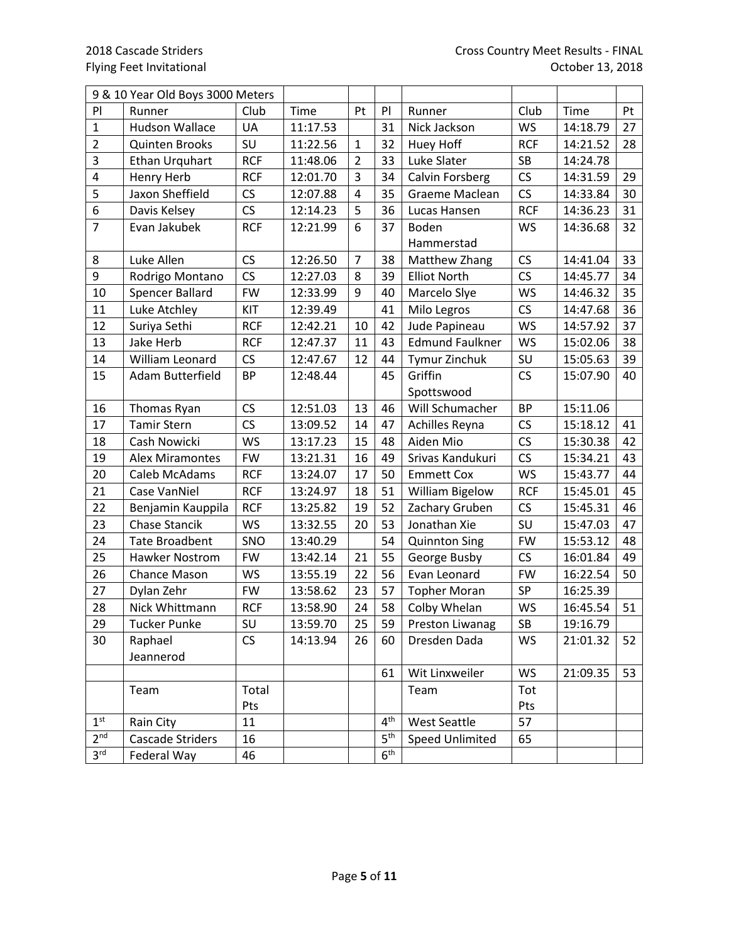|                         | 9 & 10 Year Old Boys 3000 Meters |            |          |                |                 |                        |            |          |    |
|-------------------------|----------------------------------|------------|----------|----------------|-----------------|------------------------|------------|----------|----|
| PI                      | Runner                           | Club       | Time     | Pt             | P               | Runner                 | Club       | Time     | Pt |
| $\mathbf 1$             | <b>Hudson Wallace</b>            | UA         | 11:17.53 |                | 31              | Nick Jackson           | <b>WS</b>  | 14:18.79 | 27 |
| $\overline{2}$          | Quinten Brooks                   | SU         | 11:22.56 | $\mathbf{1}$   | 32              | Huey Hoff              | <b>RCF</b> | 14:21.52 | 28 |
| $\overline{\mathbf{3}}$ | Ethan Urquhart                   | <b>RCF</b> | 11:48.06 | $\overline{2}$ | 33              | Luke Slater            | <b>SB</b>  | 14:24.78 |    |
| $\overline{4}$          | <b>Henry Herb</b>                | <b>RCF</b> | 12:01.70 | $\overline{3}$ | 34              | Calvin Forsberg        | CS         | 14:31.59 | 29 |
| 5                       | Jaxon Sheffield                  | CS         | 12:07.88 | $\overline{4}$ | 35              | Graeme Maclean         | CS         | 14:33.84 | 30 |
| 6                       | Davis Kelsey                     | CS         | 12:14.23 | 5              | 36              | Lucas Hansen           | <b>RCF</b> | 14:36.23 | 31 |
| $\overline{7}$          | Evan Jakubek                     | <b>RCF</b> | 12:21.99 | 6              | 37              | Boden                  | <b>WS</b>  | 14:36.68 | 32 |
|                         |                                  |            |          |                |                 | Hammerstad             |            |          |    |
| 8                       | Luke Allen                       | CS         | 12:26.50 | $\overline{7}$ | 38              | Matthew Zhang          | CS         | 14:41.04 | 33 |
| 9                       | Rodrigo Montano                  | CS         | 12:27.03 | 8              | 39              | <b>Elliot North</b>    | CS         | 14:45.77 | 34 |
| 10                      | <b>Spencer Ballard</b>           | <b>FW</b>  | 12:33.99 | 9              | 40              | Marcelo Slye           | <b>WS</b>  | 14:46.32 | 35 |
| 11                      | Luke Atchley                     | KIT        | 12:39.49 |                | 41              | Milo Legros            | CS         | 14:47.68 | 36 |
| 12                      | Suriya Sethi                     | <b>RCF</b> | 12:42.21 | 10             | 42              | Jude Papineau          | <b>WS</b>  | 14:57.92 | 37 |
| 13                      | Jake Herb                        | <b>RCF</b> | 12:47.37 | 11             | 43              | <b>Edmund Faulkner</b> | <b>WS</b>  | 15:02.06 | 38 |
| 14                      | William Leonard                  | CS         | 12:47.67 | 12             | 44              | Tymur Zinchuk          | SU         | 15:05.63 | 39 |
| 15                      | Adam Butterfield                 | <b>BP</b>  | 12:48.44 |                | 45              | Griffin                | CS         | 15:07.90 | 40 |
|                         |                                  |            |          |                |                 | Spottswood             |            |          |    |
| 16                      | Thomas Ryan                      | CS         | 12:51.03 | 13             | 46              | Will Schumacher        | <b>BP</b>  | 15:11.06 |    |
| 17                      | <b>Tamir Stern</b>               | CS         | 13:09.52 | 14             | 47              | Achilles Reyna         | CS         | 15:18.12 | 41 |
| 18                      | Cash Nowicki                     | <b>WS</b>  | 13:17.23 | 15             | 48              | Aiden Mio              | CS         | 15:30.38 | 42 |
| 19                      | <b>Alex Miramontes</b>           | <b>FW</b>  | 13:21.31 | 16             | 49              | Srivas Kandukuri       | CS         | 15:34.21 | 43 |
| 20                      | Caleb McAdams                    | <b>RCF</b> | 13:24.07 | 17             | 50              | <b>Emmett Cox</b>      | <b>WS</b>  | 15:43.77 | 44 |
| 21                      | Case VanNiel                     | <b>RCF</b> | 13:24.97 | 18             | 51              | <b>William Bigelow</b> | <b>RCF</b> | 15:45.01 | 45 |
| 22                      | Benjamin Kauppila                | <b>RCF</b> | 13:25.82 | 19             | 52              | Zachary Gruben         | <b>CS</b>  | 15:45.31 | 46 |
| 23                      | Chase Stancik                    | <b>WS</b>  | 13:32.55 | 20             | 53              | Jonathan Xie           | SU         | 15:47.03 | 47 |
| 24                      | <b>Tate Broadbent</b>            | SNO        | 13:40.29 |                | 54              | <b>Quinnton Sing</b>   | <b>FW</b>  | 15:53.12 | 48 |
| 25                      | <b>Hawker Nostrom</b>            | <b>FW</b>  | 13:42.14 | 21             | 55              | George Busby           | CS         | 16:01.84 | 49 |
| 26                      | Chance Mason                     | <b>WS</b>  | 13:55.19 | 22             | 56              | Evan Leonard           | <b>FW</b>  | 16:22.54 | 50 |
| 27                      | Dylan Zehr                       | <b>FW</b>  | 13:58.62 | 23             | 57              | <b>Topher Moran</b>    | SP         | 16:25.39 |    |
| 28                      | Nick Whittmann                   | <b>RCF</b> | 13:58.90 | 24             | 58              | Colby Whelan           | <b>WS</b>  | 16:45.54 | 51 |
| 29                      | <b>Tucker Punke</b>              | SU         | 13:59.70 | 25             | 59              | Preston Liwanag        | SB         | 19:16.79 |    |
| 30                      | Raphael                          | CS         | 14:13.94 | 26             | 60              | Dresden Dada           | WS         | 21:01.32 | 52 |
|                         | Jeannerod                        |            |          |                |                 |                        |            |          |    |
|                         |                                  |            |          |                | 61              | Wit Linxweiler         | WS         | 21:09.35 | 53 |
|                         | Team                             | Total      |          |                |                 | Team                   | Tot        |          |    |
|                         |                                  | Pts        |          |                |                 |                        | Pts        |          |    |
| 1 <sup>st</sup>         | Rain City                        | 11         |          |                | 4 <sup>th</sup> | <b>West Seattle</b>    | 57         |          |    |
| 2 <sup>nd</sup>         | Cascade Striders                 | 16         |          |                | 5 <sup>th</sup> | <b>Speed Unlimited</b> | 65         |          |    |
| 3 <sup>rd</sup>         | Federal Way                      | 46         |          |                | 6 <sup>th</sup> |                        |            |          |    |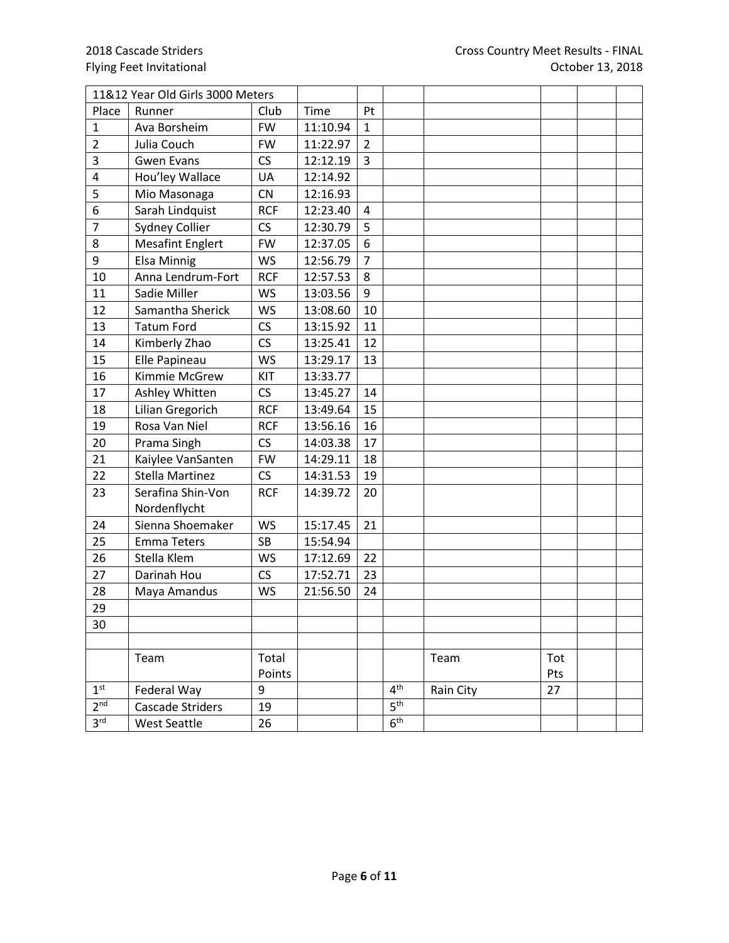|                 | 11&12 Year Old Girls 3000 Meters |            |          |                |                 |           |     |  |
|-----------------|----------------------------------|------------|----------|----------------|-----------------|-----------|-----|--|
| Place           | Runner                           | Club       | Time     | Pt             |                 |           |     |  |
| $\mathbf{1}$    | Ava Borsheim                     | <b>FW</b>  | 11:10.94 | $\mathbf{1}$   |                 |           |     |  |
| $\overline{2}$  | Julia Couch                      | <b>FW</b>  | 11:22.97 | $\overline{2}$ |                 |           |     |  |
| 3               | <b>Gwen Evans</b>                | CS         | 12:12.19 | 3              |                 |           |     |  |
| 4               | Hou'ley Wallace                  | UA         | 12:14.92 |                |                 |           |     |  |
| 5               | Mio Masonaga                     | <b>CN</b>  | 12:16.93 |                |                 |           |     |  |
| 6               | Sarah Lindquist                  | <b>RCF</b> | 12:23.40 | 4              |                 |           |     |  |
| $\overline{7}$  | Sydney Collier                   | CS         | 12:30.79 | 5              |                 |           |     |  |
| 8               | <b>Mesafint Englert</b>          | <b>FW</b>  | 12:37.05 | $\overline{6}$ |                 |           |     |  |
| 9               | <b>Elsa Minnig</b>               | <b>WS</b>  | 12:56.79 | $\overline{7}$ |                 |           |     |  |
| 10              | Anna Lendrum-Fort                | <b>RCF</b> | 12:57.53 | 8              |                 |           |     |  |
| 11              | Sadie Miller                     | <b>WS</b>  | 13:03.56 | 9              |                 |           |     |  |
| 12              | Samantha Sherick                 | <b>WS</b>  | 13:08.60 | 10             |                 |           |     |  |
| 13              | <b>Tatum Ford</b>                | CS         | 13:15.92 | 11             |                 |           |     |  |
| 14              | Kimberly Zhao                    | CS         | 13:25.41 | 12             |                 |           |     |  |
| 15              | Elle Papineau                    | <b>WS</b>  | 13:29.17 | 13             |                 |           |     |  |
| 16              | Kimmie McGrew                    | KIT        | 13:33.77 |                |                 |           |     |  |
| 17              | Ashley Whitten                   | CS         | 13:45.27 | 14             |                 |           |     |  |
| 18              | Lilian Gregorich                 | <b>RCF</b> | 13:49.64 | 15             |                 |           |     |  |
| 19              | Rosa Van Niel                    | <b>RCF</b> | 13:56.16 | 16             |                 |           |     |  |
| 20              | Prama Singh                      | CS         | 14:03.38 | 17             |                 |           |     |  |
| 21              | Kaiylee VanSanten                | <b>FW</b>  | 14:29.11 | 18             |                 |           |     |  |
| 22              | <b>Stella Martinez</b>           | CS         | 14:31.53 | 19             |                 |           |     |  |
| 23              | Serafina Shin-Von                | <b>RCF</b> | 14:39.72 | 20             |                 |           |     |  |
|                 | Nordenflycht                     |            |          |                |                 |           |     |  |
| 24              | Sienna Shoemaker                 | <b>WS</b>  | 15:17.45 | 21             |                 |           |     |  |
| 25              | <b>Emma Teters</b>               | <b>SB</b>  | 15:54.94 |                |                 |           |     |  |
| 26              | Stella Klem                      | <b>WS</b>  | 17:12.69 | 22             |                 |           |     |  |
| 27              | Darinah Hou                      | CS         | 17:52.71 | 23             |                 |           |     |  |
| 28              | Maya Amandus                     | <b>WS</b>  | 21:56.50 | 24             |                 |           |     |  |
| 29              |                                  |            |          |                |                 |           |     |  |
| 30              |                                  |            |          |                |                 |           |     |  |
|                 |                                  |            |          |                |                 |           |     |  |
|                 | Team                             | Total      |          |                |                 | Team      | Tot |  |
|                 |                                  | Points     |          |                |                 |           | Pts |  |
| 1 <sup>st</sup> | Federal Way                      | 9          |          |                | 4 <sup>th</sup> | Rain City | 27  |  |
| 2 <sup>nd</sup> | Cascade Striders                 | 19         |          |                | 5 <sup>th</sup> |           |     |  |
| 3 <sup>rd</sup> | <b>West Seattle</b>              | 26         |          |                | 6 <sup>th</sup> |           |     |  |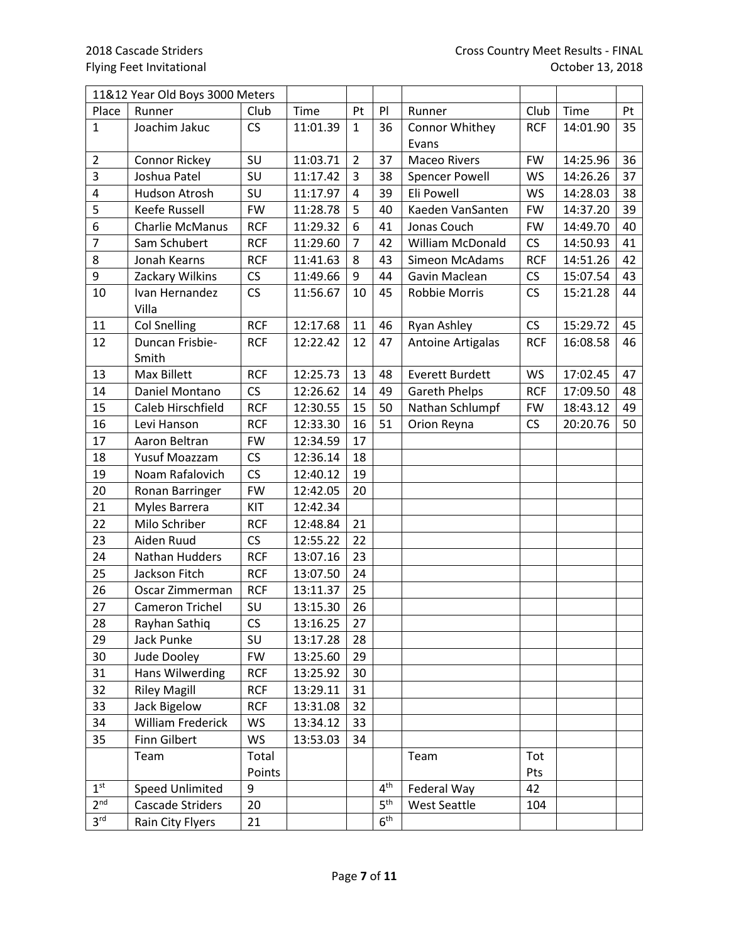|                 | 11&12 Year Old Boys 3000 Meters |            |          |                |                 |                          |            |          |    |
|-----------------|---------------------------------|------------|----------|----------------|-----------------|--------------------------|------------|----------|----|
| Place           | Runner                          | Club       | Time     | Pt             | P               | Runner                   | Club       | Time     | Pt |
| $\mathbf{1}$    | Joachim Jakuc                   | <b>CS</b>  | 11:01.39 | $\mathbf{1}$   | 36              | Connor Whithey           | <b>RCF</b> | 14:01.90 | 35 |
|                 |                                 |            |          |                |                 | Evans                    |            |          |    |
| $\overline{2}$  | <b>Connor Rickey</b>            | SU         | 11:03.71 | $\overline{2}$ | 37              | <b>Maceo Rivers</b>      | <b>FW</b>  | 14:25.96 | 36 |
| 3               | Joshua Patel                    | SU         | 11:17.42 | 3              | 38              | <b>Spencer Powell</b>    | <b>WS</b>  | 14:26.26 | 37 |
| $\pmb{4}$       | Hudson Atrosh                   | SU         | 11:17.97 | $\overline{4}$ | 39              | Eli Powell               | <b>WS</b>  | 14:28.03 | 38 |
| 5               | Keefe Russell                   | <b>FW</b>  | 11:28.78 | 5              | 40              | Kaeden VanSanten         | <b>FW</b>  | 14:37.20 | 39 |
| 6               | <b>Charlie McManus</b>          | <b>RCF</b> | 11:29.32 | 6              | 41              | Jonas Couch              | <b>FW</b>  | 14:49.70 | 40 |
| $\overline{7}$  | Sam Schubert                    | <b>RCF</b> | 11:29.60 | $\overline{7}$ | 42              | <b>William McDonald</b>  | <b>CS</b>  | 14:50.93 | 41 |
| 8               | Jonah Kearns                    | <b>RCF</b> | 11:41.63 | 8              | 43              | Simeon McAdams           | <b>RCF</b> | 14:51.26 | 42 |
| 9               | Zackary Wilkins                 | CS         | 11:49.66 | 9              | 44              | Gavin Maclean            | CS         | 15:07.54 | 43 |
| 10              | Ivan Hernandez                  | CS         | 11:56.67 | 10             | 45              | Robbie Morris            | CS         | 15:21.28 | 44 |
|                 | Villa                           |            |          |                |                 |                          |            |          |    |
| 11              | <b>Col Snelling</b>             | <b>RCF</b> | 12:17.68 | 11             | 46              | Ryan Ashley              | CS         | 15:29.72 | 45 |
| 12              | Duncan Frisbie-                 | <b>RCF</b> | 12:22.42 | 12             | 47              | <b>Antoine Artigalas</b> | <b>RCF</b> | 16:08.58 | 46 |
|                 | Smith                           |            |          |                |                 |                          |            |          |    |
| 13              | Max Billett                     | <b>RCF</b> | 12:25.73 | 13             | 48              | <b>Everett Burdett</b>   | <b>WS</b>  | 17:02.45 | 47 |
| 14              | Daniel Montano                  | CS         | 12:26.62 | 14             | 49              | <b>Gareth Phelps</b>     | <b>RCF</b> | 17:09.50 | 48 |
| 15              | Caleb Hirschfield               | <b>RCF</b> | 12:30.55 | 15             | 50              | Nathan Schlumpf          | <b>FW</b>  | 18:43.12 | 49 |
| 16              | Levi Hanson                     | <b>RCF</b> | 12:33.30 | 16             | 51              | Orion Reyna              | CS         | 20:20.76 | 50 |
| 17              | Aaron Beltran                   | <b>FW</b>  | 12:34.59 | 17             |                 |                          |            |          |    |
| 18              | Yusuf Moazzam                   | CS         | 12:36.14 | 18             |                 |                          |            |          |    |
| 19              | Noam Rafalovich                 | CS         | 12:40.12 | 19             |                 |                          |            |          |    |
| 20              | Ronan Barringer                 | <b>FW</b>  | 12:42.05 | 20             |                 |                          |            |          |    |
| 21              | Myles Barrera                   | KIT        | 12:42.34 |                |                 |                          |            |          |    |
| 22              | Milo Schriber                   | <b>RCF</b> | 12:48.84 | 21             |                 |                          |            |          |    |
| 23              | Aiden Ruud                      | CS         | 12:55.22 | 22             |                 |                          |            |          |    |
| 24              | Nathan Hudders                  | <b>RCF</b> | 13:07.16 | 23             |                 |                          |            |          |    |
| 25              | Jackson Fitch                   | <b>RCF</b> | 13:07.50 | 24             |                 |                          |            |          |    |
| 26              | Oscar Zimmerman                 | <b>RCF</b> | 13:11.37 | 25             |                 |                          |            |          |    |
| 27              | <b>Cameron Trichel</b>          | SU         | 13:15.30 | 26             |                 |                          |            |          |    |
| 28              | Rayhan Sathiq                   | CS         | 13:16.25 | 27             |                 |                          |            |          |    |
| 29              | Jack Punke                      | SU         | 13:17.28 | 28             |                 |                          |            |          |    |
| 30              | Jude Dooley                     | <b>FW</b>  | 13:25.60 | 29             |                 |                          |            |          |    |
| 31              | Hans Wilwerding                 | <b>RCF</b> | 13:25.92 | 30             |                 |                          |            |          |    |
| 32              | <b>Riley Magill</b>             | <b>RCF</b> | 13:29.11 | 31             |                 |                          |            |          |    |
| 33              | Jack Bigelow                    | <b>RCF</b> | 13:31.08 | 32             |                 |                          |            |          |    |
| 34              | <b>William Frederick</b>        | <b>WS</b>  | 13:34.12 | 33             |                 |                          |            |          |    |
| 35              | <b>Finn Gilbert</b>             | <b>WS</b>  | 13:53.03 | 34             |                 |                          |            |          |    |
|                 | Team                            | Total      |          |                |                 | Team                     | Tot        |          |    |
|                 |                                 | Points     |          |                |                 |                          | Pts        |          |    |
| 1 <sup>st</sup> | <b>Speed Unlimited</b>          | 9          |          |                | 4 <sup>th</sup> | Federal Way              | 42         |          |    |
| 2 <sup>nd</sup> | Cascade Striders                | 20         |          |                | 5 <sup>th</sup> | West Seattle             | 104        |          |    |
| 3 <sup>rd</sup> | Rain City Flyers                | 21         |          |                | 6 <sup>th</sup> |                          |            |          |    |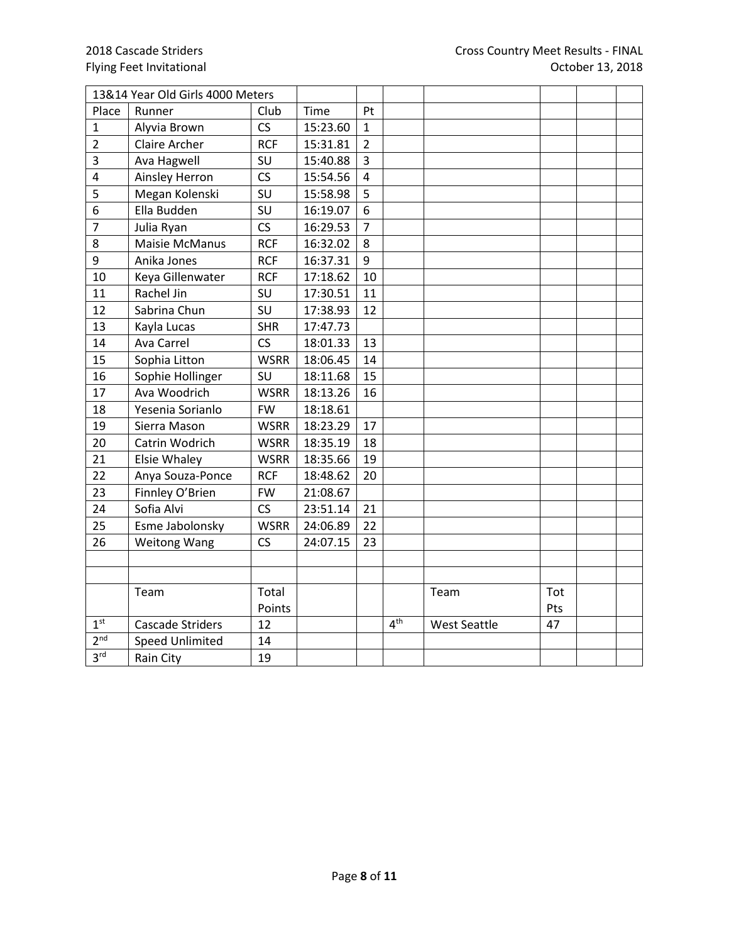|                 | 13&14 Year Old Girls 4000 Meters |             |          |                |                 |                     |     |  |
|-----------------|----------------------------------|-------------|----------|----------------|-----------------|---------------------|-----|--|
| Place           | Runner                           | Club        | Time     | Pt             |                 |                     |     |  |
| 1               | Alyvia Brown                     | CS          | 15:23.60 | $\mathbf{1}$   |                 |                     |     |  |
| $\overline{2}$  | Claire Archer                    | <b>RCF</b>  | 15:31.81 | $\overline{2}$ |                 |                     |     |  |
| 3               | Ava Hagwell                      | SU          | 15:40.88 | 3              |                 |                     |     |  |
| $\overline{4}$  | Ainsley Herron                   | CS          | 15:54.56 | $\overline{4}$ |                 |                     |     |  |
| 5               | Megan Kolenski                   | SU          | 15:58.98 | 5              |                 |                     |     |  |
| 6               | Ella Budden                      | SU          | 16:19.07 | 6              |                 |                     |     |  |
| $\overline{7}$  | Julia Ryan                       | CS          | 16:29.53 | $\overline{7}$ |                 |                     |     |  |
| 8               | <b>Maisie McManus</b>            | <b>RCF</b>  | 16:32.02 | 8              |                 |                     |     |  |
| 9               | Anika Jones                      | <b>RCF</b>  | 16:37.31 | 9              |                 |                     |     |  |
| 10              | Keya Gillenwater                 | <b>RCF</b>  | 17:18.62 | 10             |                 |                     |     |  |
| 11              | Rachel Jin                       | SU          | 17:30.51 | 11             |                 |                     |     |  |
| 12              | Sabrina Chun                     | SU          | 17:38.93 | 12             |                 |                     |     |  |
| 13              | Kayla Lucas                      | <b>SHR</b>  | 17:47.73 |                |                 |                     |     |  |
| 14              | Ava Carrel                       | CS          | 18:01.33 | 13             |                 |                     |     |  |
| 15              | Sophia Litton                    | <b>WSRR</b> | 18:06.45 | 14             |                 |                     |     |  |
| 16              | Sophie Hollinger                 | SU          | 18:11.68 | 15             |                 |                     |     |  |
| 17              | Ava Woodrich                     | <b>WSRR</b> | 18:13.26 | 16             |                 |                     |     |  |
| 18              | Yesenia Sorianlo                 | <b>FW</b>   | 18:18.61 |                |                 |                     |     |  |
| 19              | Sierra Mason                     | <b>WSRR</b> | 18:23.29 | 17             |                 |                     |     |  |
| 20              | Catrin Wodrich                   | <b>WSRR</b> | 18:35.19 | 18             |                 |                     |     |  |
| 21              | <b>Elsie Whaley</b>              | <b>WSRR</b> | 18:35.66 | 19             |                 |                     |     |  |
| 22              | Anya Souza-Ponce                 | <b>RCF</b>  | 18:48.62 | 20             |                 |                     |     |  |
| 23              | Finnley O'Brien                  | <b>FW</b>   | 21:08.67 |                |                 |                     |     |  |
| 24              | Sofia Alvi                       | CS          | 23:51.14 | 21             |                 |                     |     |  |
| 25              | Esme Jabolonsky                  | <b>WSRR</b> | 24:06.89 | 22             |                 |                     |     |  |
| 26              | <b>Weitong Wang</b>              | CS          | 24:07.15 | 23             |                 |                     |     |  |
|                 |                                  |             |          |                |                 |                     |     |  |
|                 |                                  |             |          |                |                 |                     |     |  |
|                 | Team                             | Total       |          |                |                 | Team                | Tot |  |
|                 |                                  | Points      |          |                |                 |                     | Pts |  |
| 1 <sup>st</sup> | <b>Cascade Striders</b>          | 12          |          |                | 4 <sup>th</sup> | <b>West Seattle</b> | 47  |  |
| 2 <sup>nd</sup> | <b>Speed Unlimited</b>           | 14          |          |                |                 |                     |     |  |
| 3 <sup>rd</sup> | Rain City                        | 19          |          |                |                 |                     |     |  |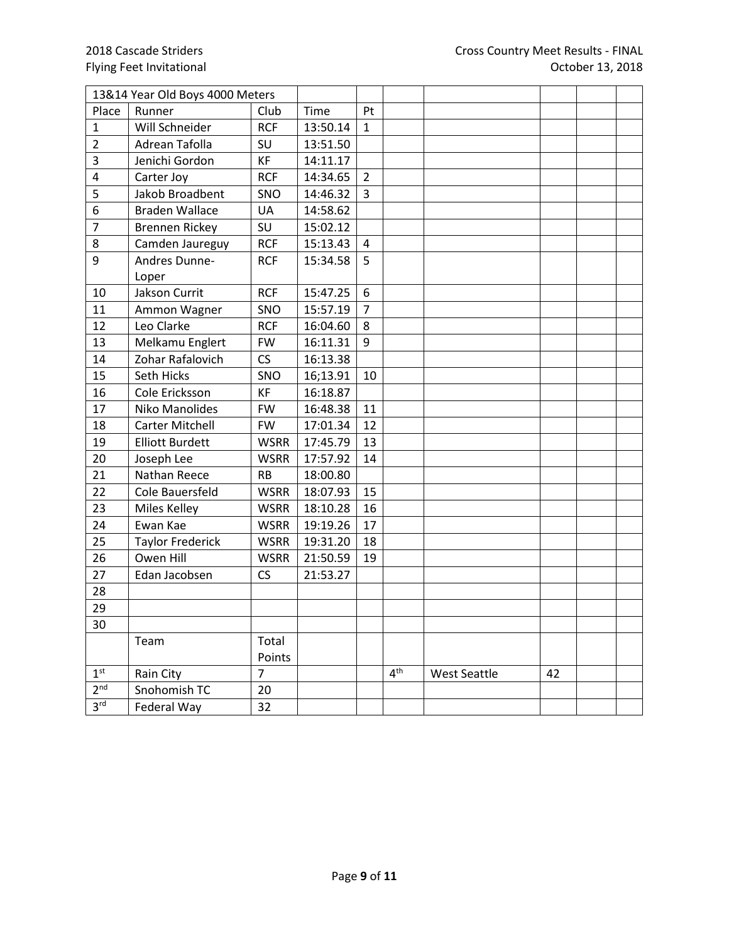|                 | 13&14 Year Old Boys 4000 Meters |                |          |                  |                 |                     |    |  |
|-----------------|---------------------------------|----------------|----------|------------------|-----------------|---------------------|----|--|
| Place           | Runner                          | Club           | Time     | Pt               |                 |                     |    |  |
| $\mathbf{1}$    | Will Schneider                  | <b>RCF</b>     | 13:50.14 | $\mathbf{1}$     |                 |                     |    |  |
| $\overline{2}$  | Adrean Tafolla                  | SU             | 13:51.50 |                  |                 |                     |    |  |
| 3               | Jenichi Gordon                  | KF             | 14:11.17 |                  |                 |                     |    |  |
| 4               | Carter Joy                      | <b>RCF</b>     | 14:34.65 | $\overline{2}$   |                 |                     |    |  |
| 5               | Jakob Broadbent                 | SNO            | 14:46.32 | $\mathbf{3}$     |                 |                     |    |  |
| 6               | <b>Braden Wallace</b>           | UA             | 14:58.62 |                  |                 |                     |    |  |
| $\overline{7}$  | <b>Brennen Rickey</b>           | SU             | 15:02.12 |                  |                 |                     |    |  |
| 8               | Camden Jaureguy                 | <b>RCF</b>     | 15:13.43 | 4                |                 |                     |    |  |
| 9               | Andres Dunne-                   | <b>RCF</b>     | 15:34.58 | 5                |                 |                     |    |  |
|                 | Loper                           |                |          |                  |                 |                     |    |  |
| 10              | Jakson Currit                   | <b>RCF</b>     | 15:47.25 | $\boldsymbol{6}$ |                 |                     |    |  |
| 11              | Ammon Wagner                    | SNO            | 15:57.19 | $\overline{7}$   |                 |                     |    |  |
| 12              | Leo Clarke                      | <b>RCF</b>     | 16:04.60 | 8                |                 |                     |    |  |
| 13              | Melkamu Englert                 | <b>FW</b>      | 16:11.31 | 9                |                 |                     |    |  |
| 14              | Zohar Rafalovich                | CS             | 16:13.38 |                  |                 |                     |    |  |
| 15              | Seth Hicks                      | SNO            | 16;13.91 | 10               |                 |                     |    |  |
| 16              | Cole Ericksson                  | KF             | 16:18.87 |                  |                 |                     |    |  |
| 17              | Niko Manolides                  | <b>FW</b>      | 16:48.38 | 11               |                 |                     |    |  |
| 18              | <b>Carter Mitchell</b>          | <b>FW</b>      | 17:01.34 | 12               |                 |                     |    |  |
| 19              | <b>Elliott Burdett</b>          | <b>WSRR</b>    | 17:45.79 | 13               |                 |                     |    |  |
| 20              | Joseph Lee                      | <b>WSRR</b>    | 17:57.92 | 14               |                 |                     |    |  |
| 21              | Nathan Reece                    | <b>RB</b>      | 18:00.80 |                  |                 |                     |    |  |
| 22              | Cole Bauersfeld                 | <b>WSRR</b>    | 18:07.93 | 15               |                 |                     |    |  |
| 23              | Miles Kelley                    | <b>WSRR</b>    | 18:10.28 | 16               |                 |                     |    |  |
| 24              | Ewan Kae                        | <b>WSRR</b>    | 19:19.26 | 17               |                 |                     |    |  |
| 25              | <b>Taylor Frederick</b>         | <b>WSRR</b>    | 19:31.20 | 18               |                 |                     |    |  |
| 26              | Owen Hill                       | <b>WSRR</b>    | 21:50.59 | 19               |                 |                     |    |  |
| 27              | Edan Jacobsen                   | CS             | 21:53.27 |                  |                 |                     |    |  |
| 28              |                                 |                |          |                  |                 |                     |    |  |
| 29              |                                 |                |          |                  |                 |                     |    |  |
| 30              |                                 |                |          |                  |                 |                     |    |  |
|                 | Team                            | Total          |          |                  |                 |                     |    |  |
|                 |                                 | Points         |          |                  |                 |                     |    |  |
| 1 <sup>st</sup> | Rain City                       | $\overline{7}$ |          |                  | 4 <sup>th</sup> | <b>West Seattle</b> | 42 |  |
| 2 <sup>nd</sup> | Snohomish TC                    | 20             |          |                  |                 |                     |    |  |
| 3 <sup>rd</sup> | Federal Way                     | 32             |          |                  |                 |                     |    |  |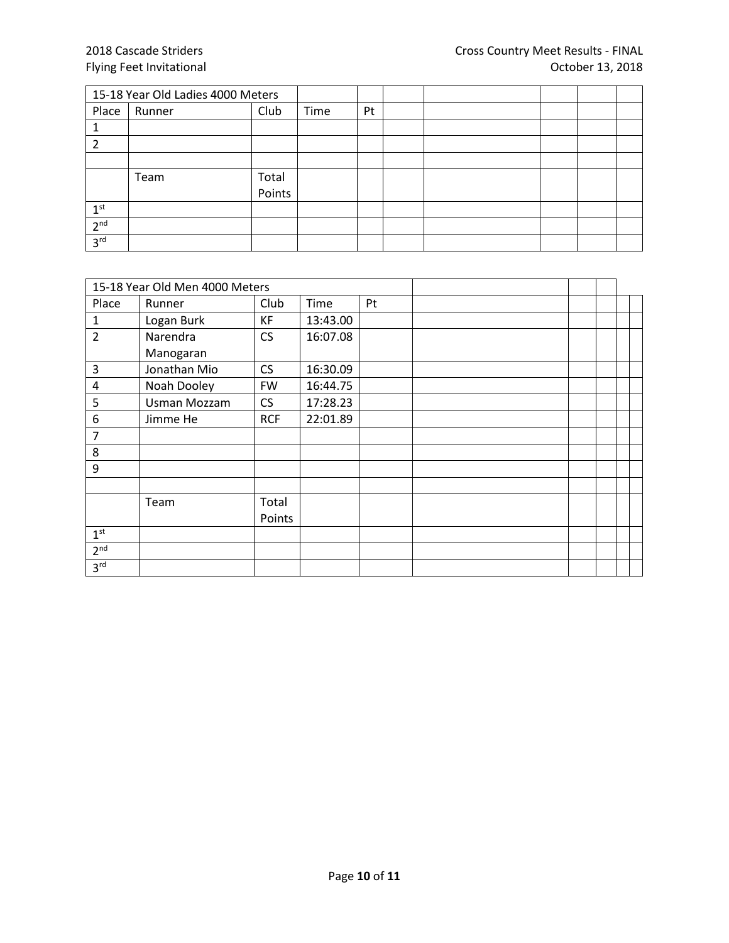|                 | 15-18 Year Old Ladies 4000 Meters |        |      |    |  |  |  |
|-----------------|-----------------------------------|--------|------|----|--|--|--|
| Place           | Runner                            | Club   | Time | Pt |  |  |  |
|                 |                                   |        |      |    |  |  |  |
|                 |                                   |        |      |    |  |  |  |
|                 |                                   |        |      |    |  |  |  |
|                 | Team                              | Total  |      |    |  |  |  |
|                 |                                   | Points |      |    |  |  |  |
| 1 <sup>st</sup> |                                   |        |      |    |  |  |  |
| 2 <sup>nd</sup> |                                   |        |      |    |  |  |  |
| 3 <sup>rd</sup> |                                   |        |      |    |  |  |  |

|                 | 15-18 Year Old Men 4000 Meters |            |          |    |  |  |  |
|-----------------|--------------------------------|------------|----------|----|--|--|--|
| Place           | Runner                         | Club       | Time     | Pt |  |  |  |
| 1               | Logan Burk                     | KF         | 13:43.00 |    |  |  |  |
| $\overline{2}$  | Narendra                       | CS         | 16:07.08 |    |  |  |  |
|                 | Manogaran                      |            |          |    |  |  |  |
| 3               | Jonathan Mio                   | <b>CS</b>  | 16:30.09 |    |  |  |  |
| 4               | Noah Dooley                    | <b>FW</b>  | 16:44.75 |    |  |  |  |
| 5               | Usman Mozzam                   | CS         | 17:28.23 |    |  |  |  |
| 6               | Jimme He                       | <b>RCF</b> | 22:01.89 |    |  |  |  |
| 7               |                                |            |          |    |  |  |  |
| 8               |                                |            |          |    |  |  |  |
| 9               |                                |            |          |    |  |  |  |
|                 |                                |            |          |    |  |  |  |
|                 | Team                           | Total      |          |    |  |  |  |
|                 |                                | Points     |          |    |  |  |  |
| 1 <sup>st</sup> |                                |            |          |    |  |  |  |
| 2 <sup>nd</sup> |                                |            |          |    |  |  |  |
| 3 <sup>rd</sup> |                                |            |          |    |  |  |  |